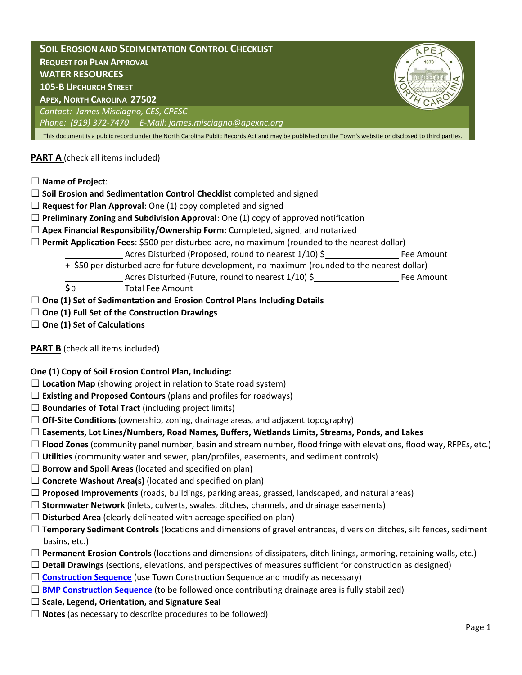**SOIL EROSION AND SEDIMENTATION CONTROL CHECKLIST REQUEST FOR PLAN APPROVAL WATER RESOURCES 105-B UPCHURCH STREET APEX, NORTH CAROLINA 27502** *Contact: James Misciagno, CES, CPESC Phone: (919) 372-7470 E-Mail: james.misciagno@apexnc.org* This document is a public record under the North Carolina Public Records Act and may be published on the Town's website or disclosed to third parties.

# **PART A** (check all items included)

☐ **Name of Project**:

- □ **Soil Erosion and Sedimentation Control Checklist** completed and signed
- ☐ **Request for Plan Approval**: One (1) copy completed and signed
- $\Box$  **Preliminary Zoning and Subdivision Approval**: One (1) copy of approved notification
- ☐ **Apex Financial Responsibility/Ownership Form**: Completed, signed, and notarized
- ☐ **Permit Application Fees**: \$500 per disturbed acre, no maximum (rounded to the nearest dollar)
	- Acres Disturbed (Proposed, round to nearest 1/10) \$ Fee Amount
	- + \$50 per disturbed acre for future development, no maximum (rounded to the nearest dollar)
	- Acres Disturbed (Future, round to nearest  $1/10$ ) \$ **\$0** Total Fee Amount
- ☐ **One (1) Set of Sedimentation and Erosion Control Plans Including Details**
- ☐ **One (1) Full Set of the Construction Drawings**
- ☐ **One (1) Set of Calculations**

## **PART B** (check all items included)

**One (1) Copy of Soil Erosion Control Plan, Including:** 

- $\Box$  **Location Map** (showing project in relation to State road system)
- ☐ **Existing and Proposed Contours** (plans and profiles for roadways)
- ☐ **Boundaries of Total Tract** (including project limits)
- ☐ **Off-Site Conditions** (ownership, zoning, drainage areas, and adjacent topography)

## ☐ **Easements, Lot Lines/Numbers, Road Names, Buffers, Wetlands Limits, Streams, Ponds, and Lakes**

- ☐ **Flood Zones** (community panel number, basin and stream number, flood fringe with elevations, flood way, RFPEs, etc.)
- ☐ **Utilities** (community water and sewer, plan/profiles, easements, and sediment controls)
- ☐ **Borrow and Spoil Areas** (located and specified on plan)
- ☐ **Concrete Washout Area(s)** (located and specified on plan)
- ☐ **Proposed Improvements** (roads, buildings, parking areas, grassed, landscaped, and natural areas)
- ☐ **Stormwater Network** (inlets, culverts, swales, ditches, channels, and drainage easements)
- ☐ **Disturbed Area** (clearly delineated with acreage specified on plan)
- ☐ **Temporary Sediment Controls** (locations and dimensions of gravel entrances, diversion ditches, silt fences, sediment basins, etc.)
- ☐ **Permanent Erosion Controls** (locations and dimensions of dissipaters, ditch linings, armoring, retaining walls, etc.)
- ☐ **Detail Drawings** (sections, elevations, and perspectives of measures sufficient for construction as designed)
- □ **[Construction Sequence](http://www.apexnc.org/documentcenter/view/638)** (use Town Construction Sequence and modify as necessary)
- □ **[BMP Construction Sequence](http://www.apexnc.org/DocumentCenter/View/1366)** (to be followed once contributing drainage area is fully stabilized)
- ☐ **Scale, Legend, Orientation, and Signature Seal**
- ☐ **Notes** (as necessary to describe procedures to be followed)